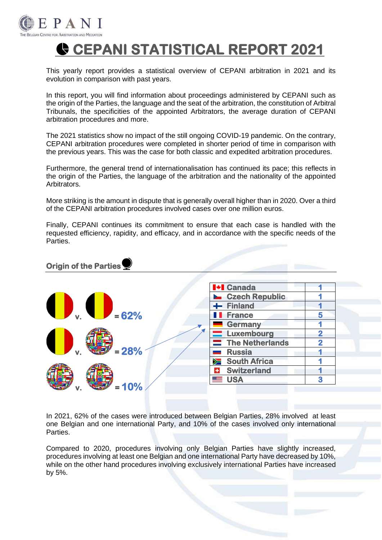

# **CEPANI STATISTICAL REPORT 2021**

This yearly report provides a statistical overview of CEPANI arbitration in 2021 and its evolution in comparison with past years.

In this report, you will find information about proceedings administered by CEPANI such as the origin of the Parties, the language and the seat of the arbitration, the constitution of Arbitral Tribunals, the specificities of the appointed Arbitrators, the average duration of CEPANI arbitration procedures and more.

The 2021 statistics show no impact of the still ongoing COVID-19 pandemic. On the contrary, CEPANI arbitration procedures were completed in shorter period of time in comparison with the previous years. This was the case for both classic and expedited arbitration procedures.

Furthermore, the general trend of internationalisation has continued its pace; this reflects in the origin of the Parties, the language of the arbitration and the nationality of the appointed Arbitrators.

More striking is the amount in dispute that is generally overall higher than in 2020. Over a third of the CEPANI arbitration procedures involved cases over one million euros.

Finally, CEPANI continues its commitment to ensure that each case is handled with the requested efficiency, rapidity, and efficacy, and in accordance with the specific needs of the Parties.

### **Origin of the Parties**

|         | <b>H</b> + <b>I</b> Canada           |                         |
|---------|--------------------------------------|-------------------------|
|         | <b>L</b> Czech Republic              |                         |
| D. OD.  | $+$ Finland                          |                         |
| $= 62%$ | <b>France</b>                        | 5                       |
|         | <b>Germany</b>                       |                         |
|         | <b>Luxembourg</b>                    | $\overline{\mathbf{2}}$ |
|         | The Netherlands                      | $\overline{\mathbf{2}}$ |
| $= 28%$ | <b>Russia</b>                        |                         |
|         | South Africa                         |                         |
|         | <b>Switzerland</b><br>$\color{red}+$ |                         |
| $= 10%$ | <b>SIER</b> USA                      | 3                       |

In 2021, 62% of the cases were introduced between Belgian Parties, 28% involved at least one Belgian and one international Party, and 10% of the cases involved only international Parties.

Compared to 2020, procedures involving only Belgian Parties have slightly increased, procedures involving at least one Belgian and one international Party have decreased by 10%, while on the other hand procedures involving exclusively international Parties have increased by 5%.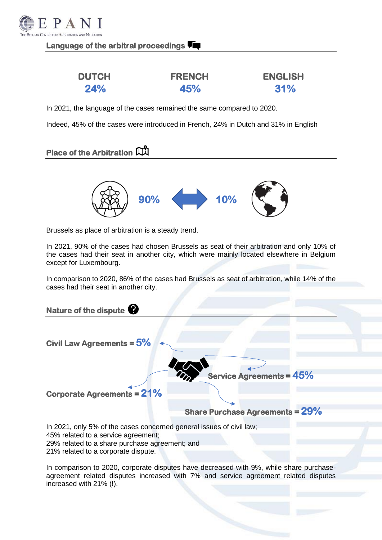

# **Language of the arbitral proceedings**

| <b>DUTCH</b> | <b>FRENCH</b> | <b>ENGLISH</b> |
|--------------|---------------|----------------|
| <b>24%</b>   | 45%           | 31%            |

In 2021, the language of the cases remained the same compared to 2020.

Indeed, 45% of the cases were introduced in French, 24% in Dutch and 31% in English

# **Place of the Arbitration**



Brussels as place of arbitration is a steady trend.

In 2021, 90% of the cases had chosen Brussels as seat of their arbitration and only 10% of the cases had their seat in another city, which were mainly located elsewhere in Belgium except for Luxembourg.

In comparison to 2020, 86% of the cases had Brussels as seat of arbitration, while 14% of the cases had their seat in another city.

**Nature of the dispute Civil Law Agreements = 5% Service Agreements = 45% Corporate Agreements = 21% Share Purchase Agreements = 29%**  In 2021, only 5% of the cases concerned general issues of civil law; 45% related to a service agreement; 29% related to a share purchase agreement; and 21% related to a corporate dispute.

In comparison to 2020, corporate disputes have decreased with 9%, while share purchaseagreement related disputes increased with 7% and service agreement related disputes increased with 21% (!).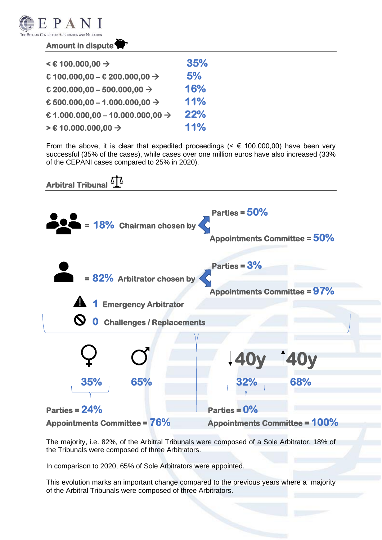

#### **Amount in dispute**

| $\leq$ € 100.000,00 $\rightarrow$            | 35% |
|----------------------------------------------|-----|
| € 100.000,00 - € 200.000,00 $\rightarrow$    | 5%  |
| € 200.000,00 - 500.000,00 $\rightarrow$      | 16% |
| € 500.000,00 - 1.000.000,00 $\rightarrow$    | 11% |
| € 1.000.000,00 - 10.000.000,00 $\rightarrow$ | 22% |
| > € 10.000.000,00 →                          | 11% |

From the above, it is clear that expedited proceedings ( $\leq \epsilon$  100.000,00) have been very successful (35% of the cases), while cases over one million euros have also increased (33% of the CEPANI cases compared to 25% in 2020).



The majority, i.e. 82%, of the Arbitral Tribunals were composed of a Sole Arbitrator. 18% of the Tribunals were composed of three Arbitrators.

In comparison to 2020, 65% of Sole Arbitrators were appointed.

This evolution marks an important change compared to the previous years where a majority of the Arbitral Tribunals were composed of three Arbitrators.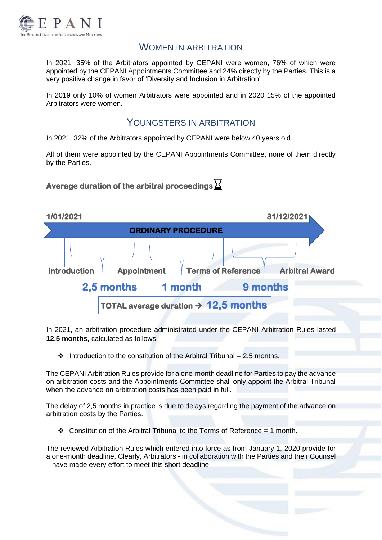

# WOMEN IN ARBITRATION

In 2021, 35% of the Arbitrators appointed by CEPANI were women, 76% of which were appointed by the CEPANI Appointments Committee and 24% directly by the Parties. This is a very positive change in favor of 'Diversity and Inclusion in Arbitration'.

In 2019 only 10% of women Arbitrators were appointed and in 2020 15% of the appointed Arbitrators were women.

# YOUNGSTERS IN ARBITRATION

In 2021, 32% of the Arbitrators appointed by CEPANI were below 40 years old.

All of them were appointed by the CEPANI Appointments Committee, none of them directly by the Parties.

**Average duration of the arbitral proceedings** 



In 2021, an arbitration procedure administrated under the CEPANI Arbitration Rules lasted **12,5 months,** calculated as follows:

 $\cdot \cdot$  Introduction to the constitution of the Arbitral Tribunal = 2.5 months.

The CEPANI Arbitration Rules provide for a one-month deadline for Parties to pay the advance on arbitration costs and the Appointments Committee shall only appoint the Arbitral Tribunal when the advance on arbitration costs has been paid in full.

The delay of 2,5 months in practice is due to delays regarding the payment of the advance on arbitration costs by the Parties.

❖ Constitution of the Arbitral Tribunal to the Terms of Reference = 1 month.

The reviewed Arbitration Rules which entered into force as from January 1, 2020 provide for a one-month deadline. Clearly, Arbitrators - in collaboration with the Parties and their Counsel – have made every effort to meet this short deadline.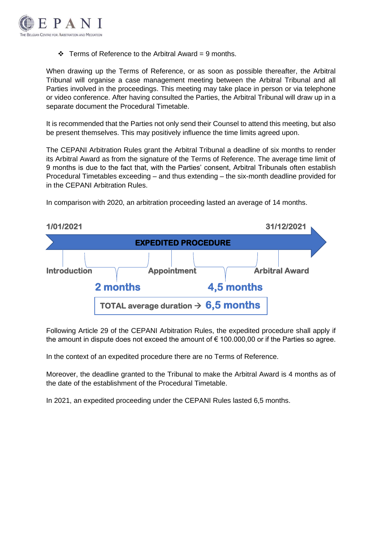

 $\div$  Terms of Reference to the Arbitral Award = 9 months.

When drawing up the Terms of Reference, or as soon as possible thereafter, the Arbitral Tribunal will organise a case management meeting between the Arbitral Tribunal and all Parties involved in the proceedings. This meeting may take place in person or via telephone or video conference. After having consulted the Parties, the Arbitral Tribunal will draw up in a separate document the Procedural Timetable.

It is recommended that the Parties not only send their Counsel to attend this meeting, but also be present themselves. This may positively influence the time limits agreed upon.

The CEPANI Arbitration Rules grant the Arbitral Tribunal a deadline of six months to render its Arbitral Award as from the signature of the Terms of Reference. The average time limit of 9 months is due to the fact that, with the Parties' consent, Arbitral Tribunals often establish Procedural Timetables exceeding – and thus extending – the six-month deadline provided for in the CEPANI Arbitration Rules.

In comparison with 2020, an arbitration proceeding lasted an average of 14 months.



Following Article 29 of the CEPANI Arbitration Rules, the expedited procedure shall apply if the amount in dispute does not exceed the amount of  $\epsilon$  100.000,00 or if the Parties so agree.

In the context of an expedited procedure there are no Terms of Reference.

Moreover, the deadline granted to the Tribunal to make the Arbitral Award is 4 months as of the date of the establishment of the Procedural Timetable.

In 2021, an expedited proceeding under the CEPANI Rules lasted 6,5 months.